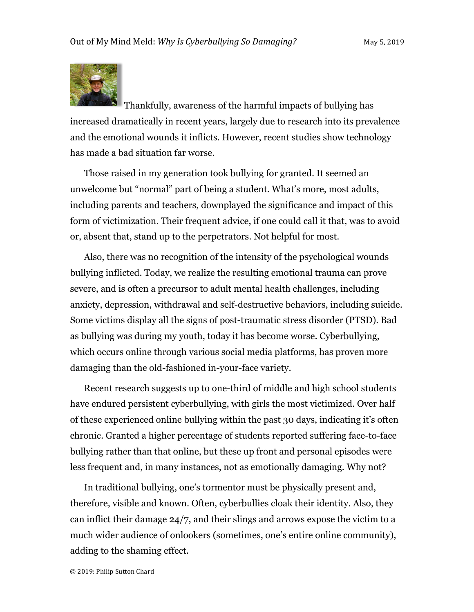

Thankfully, awareness of the harmful impacts of bullying has increased dramatically in recent years, largely due to research into its prevalence and the emotional wounds it inflicts. However, recent studies show technology has made a bad situation far worse.

Those raised in my generation took bullying for granted. It seemed an unwelcome but "normal" part of being a student. What's more, most adults, including parents and teachers, downplayed the significance and impact of this form of victimization. Their frequent advice, if one could call it that, was to avoid or, absent that, stand up to the perpetrators. Not helpful for most.

Also, there was no recognition of the intensity of the psychological wounds bullying inflicted. Today, we realize the resulting emotional trauma can prove severe, and is often a precursor to adult mental health challenges, including anxiety, depression, withdrawal and self-destructive behaviors, including suicide. Some victims display all the signs of post-traumatic stress disorder (PTSD). Bad as bullying was during my youth, today it has become worse. Cyberbullying, which occurs online through various social media platforms, has proven more damaging than the old-fashioned in-your-face variety.

Recent research suggests up to one-third of middle and high school students have endured persistent cyberbullying, with girls the most victimized. Over half of these experienced online bullying within the past 30 days, indicating it's often chronic. Granted a higher percentage of students reported suffering face-to-face bullying rather than that online, but these up front and personal episodes were less frequent and, in many instances, not as emotionally damaging. Why not?

In traditional bullying, one's tormentor must be physically present and, therefore, visible and known. Often, cyberbullies cloak their identity. Also, they can inflict their damage 24/7, and their slings and arrows expose the victim to a much wider audience of onlookers (sometimes, one's entire online community), adding to the shaming effect.